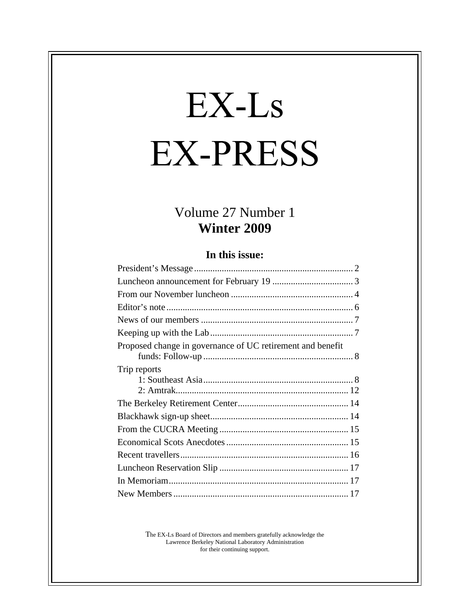# EX-Ls **EX-PRESS**

# Volume 27 Number 1<br>Winter 2009 **Winter 2009**

#### **In this issue:**

| Proposed change in governance of UC retirement and benefit<br>Trip reports |
|----------------------------------------------------------------------------|
|                                                                            |
|                                                                            |
|                                                                            |
|                                                                            |
|                                                                            |
|                                                                            |
|                                                                            |
|                                                                            |
|                                                                            |
|                                                                            |
|                                                                            |
|                                                                            |
|                                                                            |
|                                                                            |
|                                                                            |
|                                                                            |
|                                                                            |

The EX-Ls Board of Directors and members gratefully acknowledge the Lawrence Berkeley National Laboratory Administration for their continuing support.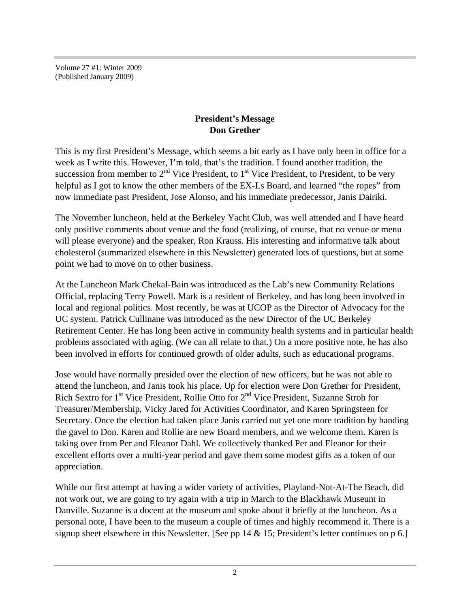Volume 27 #1: Winter 2009 (Published January 2009)

#### **President's Message Don Grether**

This is my first President's Message, which seems a bit early as I have only been in office for a week as I write this. However, I'm told, that's the tradition. I found another tradition, the succession from member to  $2<sup>nd</sup>$  Vice President, to  $1<sup>st</sup>$  Vice President, to President, to be very helpful as I got to know the other members of the EX-Ls Board, and learned "the ropes" from now immediate past President, Jose Alonso, and his immediate predecessor, Janis Dairiki.

The November luncheon, held at the Berkeley Yacht Club, was well attended and I have heard only positive comments about venue and the food (realizing, of course, that no venue or menu will please everyone) and the speaker, Ron Krauss. His interesting and informative talk about cholesterol (summarized elsewhere in this Newsletter) generated lots of questions, but at some point we had to move on to other business.

At the Luncheon Mark Chekal-Bain was introduced as the Lab's new Community Relations Official, replacing Terry Powell. Mark is a resident of Berkeley, and has long been involved in local and regional politics. Most recently, he was at UCOP as the Director of Advocacy for the UC system. Patrick Cullinane was introduced as the new Director of the UC Berkeley Retirement Center. He has long been active in community health systems and in particular health problems associated with aging. (We can all relate to that.) On a more positive note, he has also been involved in efforts for continued growth of older adults, such as educational programs.

Jose would have normally presided over the election of new officers, but he was not able to attend the luncheon, and Janis took his place. Up for election were Don Grether for President, Rich Sextro for 1<sup>st</sup> Vice President, Rollie Otto for 2<sup>nd</sup> Vice President, Suzanne Stroh for Treasurer/Membership, Vicky Jared for Activities Coordinator, and Karen Springsteen for Secretary. Once the election had taken place Janis carried out yet one more tradition by handing the gavel to Don. Karen and Rollie are new Board members, and we welcome them. Karen is taking over from Per and Eleanor Dahl. We collectively thanked Per and Eleanor for their excellent efforts over a multi-year period and gave them some modest gifts as a token of our appreciation.

While our first attempt at having a wider variety of activities, Playland-Not-At-The Beach, did not work out, we are going to try again with a trip in March to the Blackhawk Museum in Danville. Suzanne is a docent at the museum and spoke about it briefly at the luncheon. As a personal note, I have been to the museum a couple of times and highly recommend it. There is a signup sheet elsewhere in this Newsletter. [See pp 14 & 15; President's letter continues on p 6.]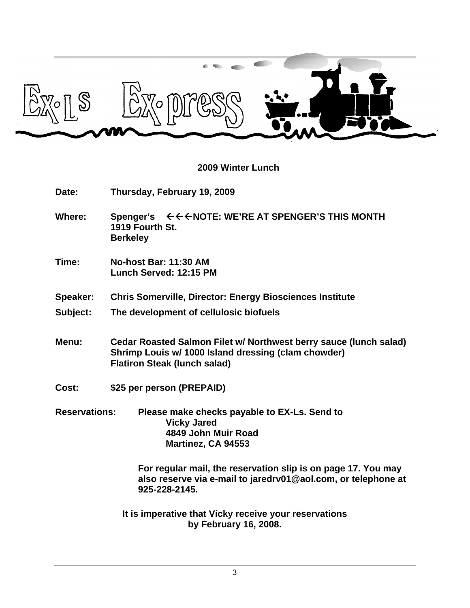

#### **2009 Winter Lunch**

**Date: Thursday, February 19, 2009** Where: Spenger's  $\leftarrow \leftarrow \leftarrow \text{NOTE}$ : WE'RE AT SPENGER'S THIS MONTH **1919 Fourth St. Berkeley Time: No-host Bar: 11:30 AM Lunch Served: 12:15 PM Speaker: Chris Somerville, Director: Energy Biosciences Institute Subject: The development of cellulosic biofuels Menu: Cedar Roasted Salmon Filet w/ Northwest berry sauce (lunch salad) Shrimp Louis w/ 1000 Island dressing (clam chowder) Flatiron Steak (lunch salad) Cost: \$25 per person (PREPAID) Reservations: Please make checks payable to EX-Ls. Send to Vicky Jared 4849 John Muir Road Martinez, CA 94553 For regular mail, the reservation slip is on page 17. You may also reserve via e-mail to jaredrv01@aol.com, or telephone at 925-228-2145.**

**It is imperative that Vicky receive your reservations by February 16, 2008.**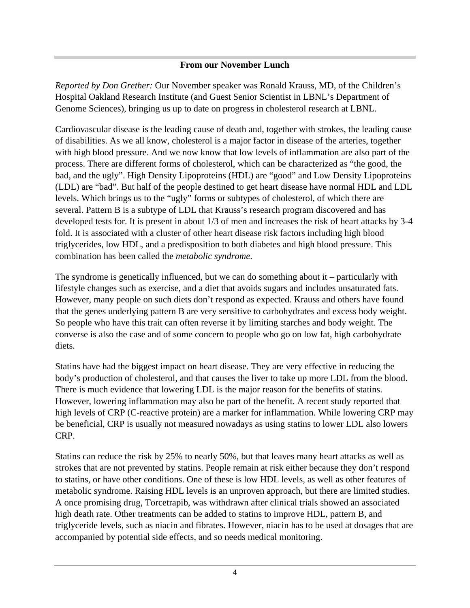#### **From our November Lunch**

*Reported by Don Grether:* Our November speaker was Ronald Krauss, MD, of the Children's Hospital Oakland Research Institute (and Guest Senior Scientist in LBNL's Department of Genome Sciences), bringing us up to date on progress in cholesterol research at LBNL.

Cardiovascular disease is the leading cause of death and, together with strokes, the leading cause of disabilities. As we all know, cholesterol is a major factor in disease of the arteries, together with high blood pressure. And we now know that low levels of inflammation are also part of the process. There are different forms of cholesterol, which can be characterized as "the good, the bad, and the ugly". High Density Lipoproteins (HDL) are "good" and Low Density Lipoproteins (LDL) are "bad". But half of the people destined to get heart disease have normal HDL and LDL levels. Which brings us to the "ugly" forms or subtypes of cholesterol, of which there are several. Pattern B is a subtype of LDL that Krauss's research program discovered and has developed tests for. It is present in about 1/3 of men and increases the risk of heart attacks by 3-4 fold. It is associated with a cluster of other heart disease risk factors including high blood triglycerides, low HDL, and a predisposition to both diabetes and high blood pressure. This combination has been called the *metabolic syndrome*.

The syndrome is genetically influenced, but we can do something about it – particularly with lifestyle changes such as exercise, and a diet that avoids sugars and includes unsaturated fats. However, many people on such diets don't respond as expected. Krauss and others have found that the genes underlying pattern B are very sensitive to carbohydrates and excess body weight. So people who have this trait can often reverse it by limiting starches and body weight. The converse is also the case and of some concern to people who go on low fat, high carbohydrate diets.

Statins have had the biggest impact on heart disease. They are very effective in reducing the body's production of cholesterol, and that causes the liver to take up more LDL from the blood. There is much evidence that lowering LDL is the major reason for the benefits of statins. However, lowering inflammation may also be part of the benefit. A recent study reported that high levels of CRP (C-reactive protein) are a marker for inflammation. While lowering CRP may be beneficial, CRP is usually not measured nowadays as using statins to lower LDL also lowers CRP.

Statins can reduce the risk by 25% to nearly 50%, but that leaves many heart attacks as well as strokes that are not prevented by statins. People remain at risk either because they don't respond to statins, or have other conditions. One of these is low HDL levels, as well as other features of metabolic syndrome. Raising HDL levels is an unproven approach, but there are limited studies. A once promising drug, Torcetrapib, was withdrawn after clinical trials showed an associated high death rate. Other treatments can be added to statins to improve HDL, pattern B, and triglyceride levels, such as niacin and fibrates. However, niacin has to be used at dosages that are accompanied by potential side effects, and so needs medical monitoring.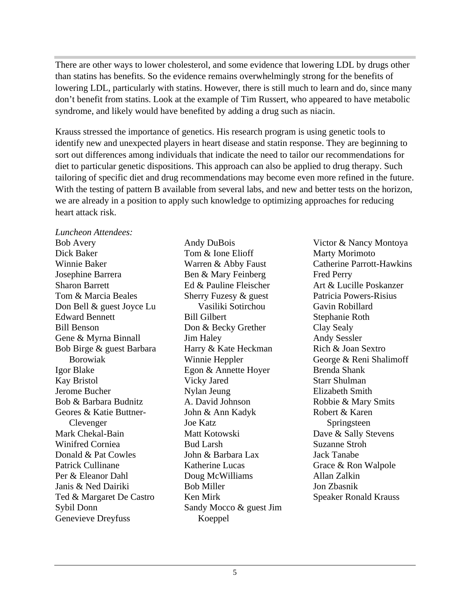There are other ways to lower cholesterol, and some evidence that lowering LDL by drugs other than statins has benefits. So the evidence remains overwhelmingly strong for the benefits of lowering LDL, particularly with statins. However, there is still much to learn and do, since many don't benefit from statins. Look at the example of Tim Russert, who appeared to have metabolic syndrome, and likely would have benefited by adding a drug such as niacin.

Krauss stressed the importance of genetics. His research program is using genetic tools to identify new and unexpected players in heart disease and statin response. They are beginning to sort out differences among individuals that indicate the need to tailor our recommendations for diet to particular genetic dispositions. This approach can also be applied to drug therapy. Such tailoring of specific diet and drug recommendations may become even more refined in the future. With the testing of pattern B available from several labs, and new and better tests on the horizon, we are already in a position to apply such knowledge to optimizing approaches for reducing heart attack risk.

*Luncheon Attendees:*  Bob Avery Andy DuBois Victor & Nancy Montoya Dick Baker **Tom & Ione Elioff** Marty Morimoto Winnie Baker Warren & Abby Faust Catherine Parrott-Hawkins Josephine Barrera **Ben & Mary Feinberg** Fred Perry Sharon Barrett Ed & Pauline Fleischer Tom & Marcia Beales Sherry Fuzesy & guest Patricia Powers-Risius Don Bell & guest Joyce Lu Edward Bennett Bill Benson **Branch Branch Branch Branch Branch Branch Branch Branch Branch Branch Branch Branch Branch Branch Branch Branch Branch Branch Branch Branch Branch Branch Branch Branch Branch Branch Branch Branch Branch Branch** Gene & Myrna Binnall **Solution** Jim Haley **Andy Sensitive Andy Sessler** Bob Birge & guest Barbara Harry & Kate Heckman Rich & Joan Sextro Igor Blake Egon & Annette Hoyer Kay Bristol **Example 3** Vicky Jared Starr Shulman Jerome Bucher Bob & Barbara Budnitz A. David Johnson Robbie & Mary Smits Geores & Katie Buttner-<br>John & Ann Kadyk Mark Chekal-Bain **Matt Kotowski** Dave & Sally Stevens Winifred Corniea **Bud Larsh** Suzanne Stroh Donald & Pat Cowles **Iohn & Barbara Lax** Jack Tanabe Patrick Cullinane **Example Example 2** Katherine Lucas **Frace & Ron Walpole** Per & Eleanor Dahl Janis & Ned Dairiki Ted & Margaret De Castro Ken Mirk Speaker Ronald Krauss Sybil Donn Sandy Mocco & guest Jim

Genevieve Dreyfuss Koeppel Don & Becky Grether Clay Sealy Matt Kotowski<br>Dave & Sally Stevens Katherine Lucas Grace & Ron Walpole Ken Mirk Speaker Ronald KraussKoeppel and the state of the state of the state of the state of the state of the state of the state of the state of the state of the state of the state of the state of the state of the state of the state of the state of th

Borowiak Winnie Heppler George & Reni Shalimoff Clevenger Springsteen and Springsteen Springsteen and Springsteen Springsteen and Springsteen and Springsteen  $\sim$ Tom & Ione Elioff Marty Morimoto Ben & Mary Feinberg Vasiliki Sotirchou Stephanie Roth Jim Haley Harry & Kate Heckman Rich & Joan Sextro Winnie Heppler George & Reni Shalimoff Vicky Jared Nylan Jeung A. David Johnson John & Ann Kadyk Joe Katz Bud Larsh Suzanne Stroh John & Barbara Lax Doug McWilliams Bob Miller Marty Morimoto Fred Perry Art & Lucille Poskanzer Patricia Powers-Risius Gavin Robillard Stephanie Roth Clay Sealy Andy Sessler Rich & Joan Sextro Brenda Shank Starr Shulman Elizabeth Smith Robbie & Mary Smits Robert & Karen Springsteen **Springsteen** Dave & Sally Stevens Suzanne Stroh Jack Tanabe Grace & Ron Walpole Allan Zalkin Jon Zbasnik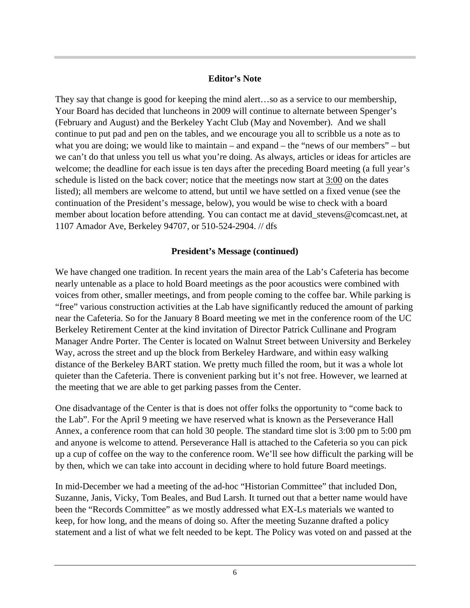#### **Editor's Note**

They say that change is good for keeping the mind alert…so as a service to our membership, Your Board has decided that luncheons in 2009 will continue to alternate between Spenger's (February and August) and the Berkeley Yacht Club (May and November). And we shall continue to put pad and pen on the tables, and we encourage you all to scribble us a note as to what you are doing; we would like to maintain – and expand – the "news of our members" – but we can't do that unless you tell us what you're doing. As always, articles or ideas for articles are welcome; the deadline for each issue is ten days after the preceding Board meeting (a full year's schedule is listed on the back cover; notice that the meetings now start at 3:00 on the dates listed); all members are welcome to attend, but until we have settled on a fixed venue (see the continuation of the President's message, below), you would be wise to check with a board member about location before attending. You can contact me at david stevens@comcast.net, at 1107 Amador Ave, Berkeley 94707, or 510-524-2904. // dfs

#### **President's Message (continued)**

We have changed one tradition. In recent years the main area of the Lab's Cafeteria has become nearly untenable as a place to hold Board meetings as the poor acoustics were combined with voices from other, smaller meetings, and from people coming to the coffee bar. While parking is "free" various construction activities at the Lab have significantly reduced the amount of parking near the Cafeteria. So for the January 8 Board meeting we met in the conference room of the UC Berkeley Retirement Center at the kind invitation of Director Patrick Cullinane and Program Manager Andre Porter. The Center is located on Walnut Street between University and Berkeley Way, across the street and up the block from Berkeley Hardware, and within easy walking distance of the Berkeley BART station. We pretty much filled the room, but it was a whole lot quieter than the Cafeteria. There is convenient parking but it's not free. However, we learned at the meeting that we are able to get parking passes from the Center.

One disadvantage of the Center is that is does not offer folks the opportunity to "come back to the Lab". For the April 9 meeting we have reserved what is known as the Perseverance Hall Annex, a conference room that can hold 30 people. The standard time slot is 3:00 pm to 5:00 pm and anyone is welcome to attend. Perseverance Hall is attached to the Cafeteria so you can pick up a cup of coffee on the way to the conference room. We'll see how difficult the parking will be by then, which we can take into account in deciding where to hold future Board meetings.

In mid-December we had a meeting of the ad-hoc "Historian Committee" that included Don, Suzanne, Janis, Vicky, Tom Beales, and Bud Larsh. It turned out that a better name would have been the "Records Committee" as we mostly addressed what EX-Ls materials we wanted to keep, for how long, and the means of doing so. After the meeting Suzanne drafted a policy statement and a list of what we felt needed to be kept. The Policy was voted on and passed at the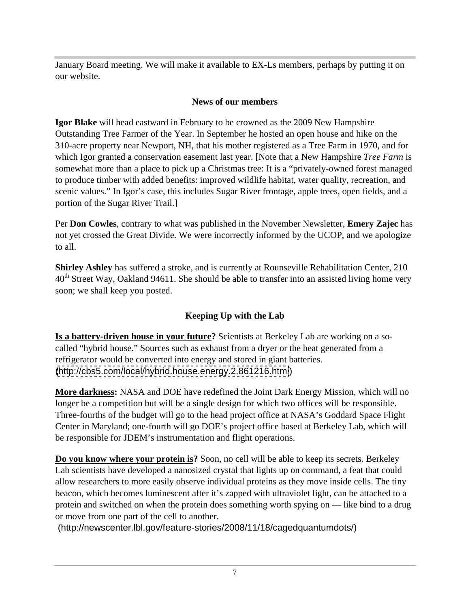January Board meeting. We will make it available to EX-Ls members, perhaps by putting it on our website.

#### **News of our members**

**Igor Blake** will head eastward in February to be crowned as the 2009 New Hampshire Outstanding Tree Farmer of the Year. In September he hosted an open house and hike on the 310-acre property near Newport, NH, that his mother registered as a Tree Farm in 1970, and for which Igor granted a conservation easement last year. [Note that a New Hampshire *Tree Farm* is somewhat more than a place to pick up a Christmas tree: It is a "privately-owned forest managed to produce timber with added benefits: improved wildlife habitat, water quality, recreation, and scenic values." In Igor's case, this includes Sugar River frontage, apple trees, open fields, and a portion of the Sugar River Trail.]

Per **Don Cowles**, contrary to what was published in the November Newsletter, **Emery Zajec** has not yet crossed the Great Divide. We were incorrectly informed by the UCOP, and we apologize to all.

**Shirley Ashley** has suffered a stroke, and is currently at Rounseville Rehabilitation Center, 210  $40<sup>th</sup>$  Street Way, Oakland 94611. She should be able to transfer into an assisted living home very soon; we shall keep you posted.

## **Keeping Up with the Lab**

**Is a battery-driven house in your future?** Scientists at Berkeley Lab are working on a so called "hybrid house." Sources such as exhaust from a dryer or the heat generated from a refrigerator would be converted into energy and stored in giant batteries. [\(http://cbs5.com/local/hybrid.house.energy.2.861216.html](http://cbs5.com/local/hybrid.house.energy.2.861216.html))

**More darkness:** NASA and DOE have redefined the Joint Dark Energy Mission, which will no longer be a competition but will be a single design for which two offices will be responsible. Three-fourths of the budget will go to the head project office at NASA's Goddard Space Flight Center in Maryland; one-fourth will go DOE's project office based at Berkeley Lab, which will be responsible for JDEM's instrumentation and flight operations.

**Do you know where your protein is?** Soon, no cell will be able to keep its secrets. Berkeley Lab scientists have developed a nanosized crystal that lights up on command, a feat that could allow researchers to more easily observe individual proteins as they move inside cells. The tiny beacon, which becomes luminescent after it's zapped with ultraviolet light, can be attached to a protein and switched on when the protein does something worth spying on — like bind to a drug or move from one part of the cell to another.

(http://newscenter.lbl.gov/feature-stories/2008/11/18/cagedquantumdots/)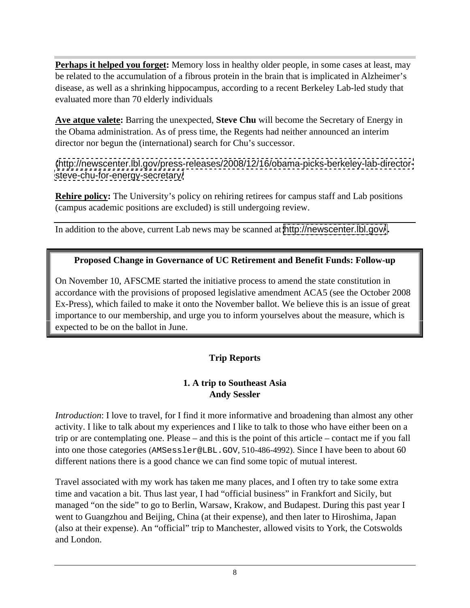**Perhaps it helped you forget:** Memory loss in healthy older people, in some cases at least, may be related to the accumulation of a fibrous protein in the brain that is implicated in Alzheimer's disease, as well as a shrinking hippocampus, according to a recent Berkeley Lab-led study that evaluated more than 70 elderly individuals

**Ave atque valete:** Barring the unexpected, **Steve Chu** will become the Secretary of Energy in the Obama administration. As of press time, the Regents had neither announced an interim director nor begun the (international) search for Chu's successor.

[\(http://newscenter.lbl.gov/press-releases/2008/12/16/obama-picks-berkeley-lab-director](http://newscenter.lbl.gov/press-releases/2008/12/16/obama-picks-berkeley-lab-director-) <steve-chu-for-energy-secretary/>

**Rehire policy:** The University's policy on rehiring retirees for campus staff and Lab positions (campus academic positions are excluded) is still undergoing review.

In addition to the above, current Lab news may be scanned at <http://newscenter.lbl.gov/> **.**

#### **Proposed Change in Governance of UC Retirement and Benefit Funds: Follow-up**

On November 10, AFSCME started the initiative process to amend the state constitution in accordance with the provisions of proposed legislative amendment ACA5 (see the October 2008 Ex-Press), which failed to make it onto the November ballot. We believe this is an issue of great importance to our membership, and urge you to inform yourselves about the measure, which is expected to be on the ballot in June.

#### **Trip Reports**

#### **1. A trip to Southeast Asia Andy Sessler**

*Introduction*: I love to travel, for I find it more informative and broadening than almost any other activity. I like to talk about my experiences and I like to talk to those who have either been on a trip or are contemplating one. Please – and this is the point of this article – contact me if you fall into one those categories (AMSessler@LBL.GOV, 510-486-4992). Since I have been to about 60 different nations there is a good chance we can find some topic of mutual interest.

Travel associated with my work has taken me many places, and I often try to take some extra time and vacation a bit. Thus last year, I had "official business" in Frankfort and Sicily, but managed "on the side" to go to Berlin, Warsaw, Krakow, and Budapest. During this past year I went to Guangzhou and Beijing, China (at their expense), and then later to Hiroshima, Japan (also at their expense). An "official" trip to Manchester, allowed visits to York, the Cotswolds and London.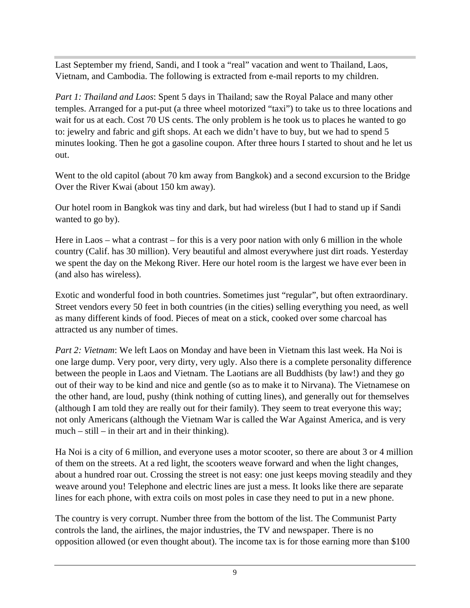Last September my friend, Sandi, and I took a "real" vacation and went to Thailand, Laos, Vietnam, and Cambodia. The following is extracted from e-mail reports to my children.

*Part 1: Thailand and Laos:* Spent 5 days in Thailand; saw the Royal Palace and many other temples. Arranged for a put-put (a three wheel motorized "taxi") to take us to three locations and wait for us at each. Cost 70 US cents. The only problem is he took us to places he wanted to go to: jewelry and fabric and gift shops. At each we didn't have to buy, but we had to spend 5 minutes looking. Then he got a gasoline coupon. After three hours I started to shout and he let us out.

Went to the old capitol (about 70 km away from Bangkok) and a second excursion to the Bridge Over the River Kwai (about 150 km away).

Our hotel room in Bangkok was tiny and dark, but had wireless (but I had to stand up if Sandi wanted to go by).

Here in Laos – what a contrast – for this is a very poor nation with only 6 million in the whole country (Calif. has 30 million). Very beautiful and almost everywhere just dirt roads. Yesterday we spent the day on the Mekong River. Here our hotel room is the largest we have ever been in (and also has wireless).

Exotic and wonderful food in both countries. Sometimes just "regular", but often extraordinary. Street vendors every 50 feet in both countries (in the cities) selling everything you need, as well as many different kinds of food. Pieces of meat on a stick, cooked over some charcoal has attracted us any number of times.

*Part 2: Vietnam*: We left Laos on Monday and have been in Vietnam this last week. Ha Noi is one large dump. Very poor, very dirty, very ugly. Also there is a complete personality difference between the people in Laos and Vietnam. The Laotians are all Buddhists (by law!) and they go out of their way to be kind and nice and gentle (so as to make it to Nirvana). The Vietnamese on the other hand, are loud, pushy (think nothing of cutting lines), and generally out for themselves (although I am told they are really out for their family). They seem to treat everyone this way; not only Americans (although the Vietnam War is called the War Against America, and is very much – still – in their art and in their thinking).

Ha Noi is a city of 6 million, and everyone uses a motor scooter, so there are about 3 or 4 million of them on the streets. At a red light, the scooters weave forward and when the light changes, about a hundred roar out. Crossing the street is not easy: one just keeps moving steadily and they weave around you! Telephone and electric lines are just a mess. It looks like there are separate lines for each phone, with extra coils on most poles in case they need to put in a new phone.

The country is very corrupt. Number three from the bottom of the list. The Communist Party controls the land, the airlines, the major industries, the TV and newspaper. There is no opposition allowed (or even thought about). The income tax is for those earning more than \$100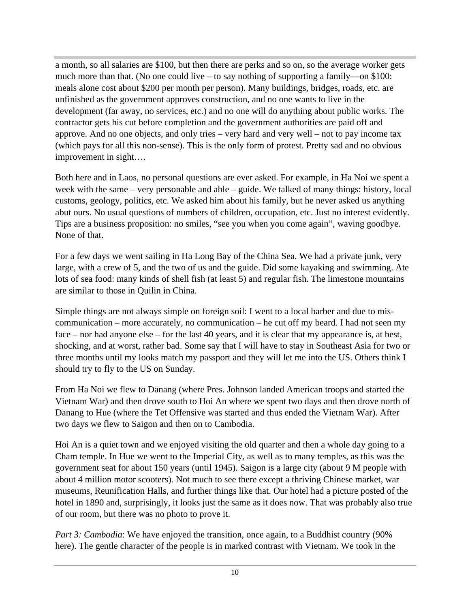a month, so all salaries are \$100, but then there are perks and so on, so the average worker gets much more than that. (No one could live – to say nothing of supporting a family—on \$100: meals alone cost about \$200 per month per person). Many buildings, bridges, roads, etc. are unfinished as the government approves construction, and no one wants to live in the development (far away, no services, etc.) and no one will do anything about public works. The contractor gets his cut before completion and the government authorities are paid off and approve. And no one objects, and only tries – very hard and very well – not to pay income tax (which pays for all this non-sense). This is the only form of protest. Pretty sad and no obvious improvement in sight….

Both here and in Laos, no personal questions are ever asked. For example, in Ha Noi we spent a week with the same – very personable and able – guide. We talked of many things: history, local customs, geology, politics, etc. We asked him about his family, but he never asked us anything abut ours. No usual questions of numbers of children, occupation, etc. Just no interest evidently. Tips are a business proposition: no smiles, "see you when you come again", waving goodbye. None of that.

For a few days we went sailing in Ha Long Bay of the China Sea. We had a private junk, very large, with a crew of 5, and the two of us and the guide. Did some kayaking and swimming. Ate lots of sea food: many kinds of shell fish (at least 5) and regular fish. The limestone mountains are similar to those in Quilin in China.

Simple things are not always simple on foreign soil: I went to a local barber and due to mis communication – more accurately, no communication – he cut off my beard. I had not seen my face – nor had anyone else – for the last 40 years, and it is clear that my appearance is, at best, shocking, and at worst, rather bad. Some say that I will have to stay in Southeast Asia for two or three months until my looks match my passport and they will let me into the US. Others think I should try to fly to the US on Sunday.

From Ha Noi we flew to Danang (where Pres. Johnson landed American troops and started the Vietnam War) and then drove south to Hoi An where we spent two days and then drove north of Danang to Hue (where the Tet Offensive was started and thus ended the Vietnam War). After two days we flew to Saigon and then on to Cambodia.

Hoi An is a quiet town and we enjoyed visiting the old quarter and then a whole day going to a Cham temple. In Hue we went to the Imperial City, as well as to many temples, as this was the government seat for about 150 years (until 1945). Saigon is a large city (about 9 M people with about 4 million motor scooters). Not much to see there except a thriving Chinese market, war museums, Reunification Halls, and further things like that. Our hotel had a picture posted of the hotel in 1890 and, surprisingly, it looks just the same as it does now. That was probably also true of our room, but there was no photo to prove it.

*Part 3: Cambodia:* We have enjoyed the transition, once again, to a Buddhist country (90%) here). The gentle character of the people is in marked contrast with Vietnam. We took in the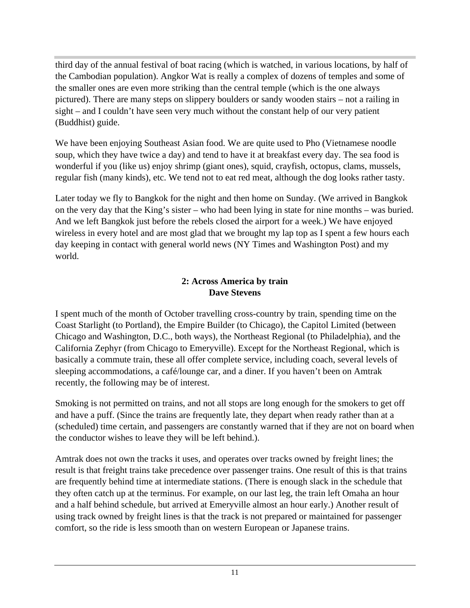third day of the annual festival of boat racing (which is watched, in various locations, by half of the Cambodian population). Angkor Wat is really a complex of dozens of temples and some of the smaller ones are even more striking than the central temple (which is the one always pictured). There are many steps on slippery boulders or sandy wooden stairs – not a railing in sight – and I couldn't have seen very much without the constant help of our very patient (Buddhist) guide.

We have been enjoying Southeast Asian food. We are quite used to Pho (Vietnamese noodle soup, which they have twice a day) and tend to have it at breakfast every day. The sea food is wonderful if you (like us) enjoy shrimp (giant ones), squid, crayfish, octopus, clams, mussels, regular fish (many kinds), etc. We tend not to eat red meat, although the dog looks rather tasty.

Later today we fly to Bangkok for the night and then home on Sunday. (We arrived in Bangkok on the very day that the King's sister – who had been lying in state for nine months – was buried. And we left Bangkok just before the rebels closed the airport for a week.) We have enjoyed wireless in every hotel and are most glad that we brought my lap top as I spent a few hours each day keeping in contact with general world news (NY Times and Washington Post) and my world.

#### **2: Across America by train Dave Stevens**

I spent much of the month of October travelling cross-country by train, spending time on the Coast Starlight (to Portland), the Empire Builder (to Chicago), the Capitol Limited (between Chicago and Washington, D.C., both ways), the Northeast Regional (to Philadelphia), and the California Zephyr (from Chicago to Emeryville). Except for the Northeast Regional, which is basically a commute train, these all offer complete service, including coach, several levels of sleeping accommodations, a café/lounge car, and a diner. If you haven't been on Amtrak recently, the following may be of interest.

Smoking is not permitted on trains, and not all stops are long enough for the smokers to get off and have a puff. (Since the trains are frequently late, they depart when ready rather than at a (scheduled) time certain, and passengers are constantly warned that if they are not on board when the conductor wishes to leave they will be left behind.).

Amtrak does not own the tracks it uses, and operates over tracks owned by freight lines; the result is that freight trains take precedence over passenger trains. One result of this is that trains are frequently behind time at intermediate stations. (There is enough slack in the schedule that they often catch up at the terminus. For example, on our last leg, the train left Omaha an hour and a half behind schedule, but arrived at Emeryville almost an hour early.) Another result of using track owned by freight lines is that the track is not prepared or maintained for passenger comfort, so the ride is less smooth than on western European or Japanese trains.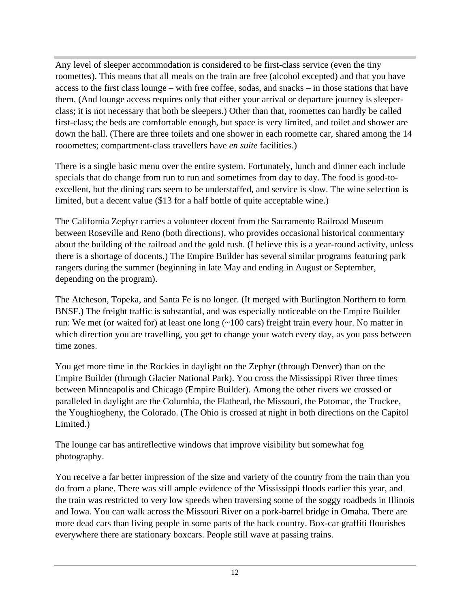Any level of sleeper accommodation is considered to be first-class service (even the tiny roomettes). This means that all meals on the train are free (alcohol excepted) and that you have access to the first class lounge – with free coffee, sodas, and snacks – in those stations that have them. (And lounge access requires only that either your arrival or departure journey is sleeper class; it is not necessary that both be sleepers.) Other than that, roomettes can hardly be called first-class; the beds are comfortable enough, but space is very limited, and toilet and shower are down the hall. (There are three toilets and one shower in each roomette car, shared among the 14 rooomettes; compartment-class travellers have *en suite* facilities.)

There is a single basic menu over the entire system. Fortunately, lunch and dinner each include specials that do change from run to run and sometimes from day to day. The food is good-to excellent, but the dining cars seem to be understaffed, and service is slow. The wine selection is limited, but a decent value (\$13 for a half bottle of quite acceptable wine.)

The California Zephyr carries a volunteer docent from the Sacramento Railroad Museum between Roseville and Reno (both directions), who provides occasional historical commentary about the building of the railroad and the gold rush. (I believe this is a year-round activity, unless there is a shortage of docents.) The Empire Builder has several similar programs featuring park rangers during the summer (beginning in late May and ending in August or September, depending on the program).

The Atcheson, Topeka, and Santa Fe is no longer. (It merged with Burlington Northern to form BNSF.) The freight traffic is substantial, and was especially noticeable on the Empire Builder run: We met (or waited for) at least one long (~100 cars) freight train every hour. No matter in which direction you are travelling, you get to change your watch every day, as you pass between time zones.

You get more time in the Rockies in daylight on the Zephyr (through Denver) than on the Empire Builder (through Glacier National Park). You cross the Mississippi River three times between Minneapolis and Chicago (Empire Builder). Among the other rivers we crossed or paralleled in daylight are the Columbia, the Flathead, the Missouri, the Potomac, the Truckee, the Youghiogheny, the Colorado. (The Ohio is crossed at night in both directions on the Capitol Limited.)

The lounge car has antireflective windows that improve visibility but somewhat fog photography.

You receive a far better impression of the size and variety of the country from the train than you do from a plane. There was still ample evidence of the Mississippi floods earlier this year, and the train was restricted to very low speeds when traversing some of the soggy roadbeds in Illinois and Iowa. You can walk across the Missouri River on a pork-barrel bridge in Omaha. There are more dead cars than living people in some parts of the back country. Box-car graffiti flourishes everywhere there are stationary boxcars. People still wave at passing trains.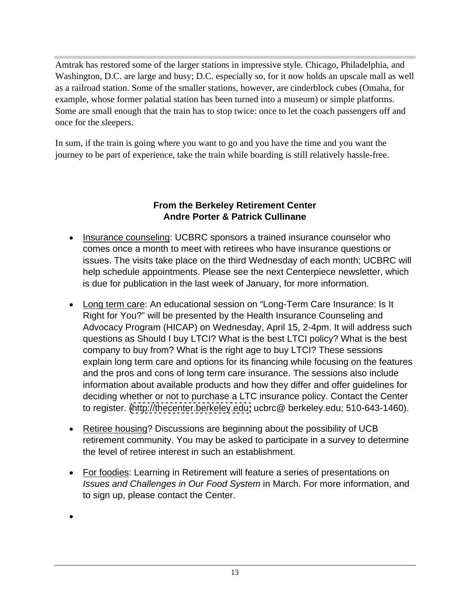Amtrak has restored some of the larger stations in impressive style. Chicago, Philadelphia, and Washington, D.C. are large and busy; D.C. especially so, for it now holds an upscale mall as well as a railroad station. Some of the smaller stations, however, are cinderblock cubes (Omaha, for example, whose former palatial station has been turned into a museum) or simple platforms. Some are small enough that the train has to stop twice: once to let the coach passengers off and once for the sleepers.

In sum, if the train is going where you want to go and you have the time and you want the journey to be part of experience, take the train while boarding is still relatively hassle-free.

#### **From the Berkeley Retirement Center Andre Porter & Patrick Cullinane**

- Insurance counseling: UCBRC sponsors a trained insurance counselor who comes once a month to meet with retirees who have insurance questions or issues. The visits take place on the third Wednesday of each month; UCBRC will help schedule appointments. Please see the next Centerpiece newsletter, which is due for publication in the last week of January, for more information.
- Long term care: An educational session on "Long-Term Care Insurance: Is It Right for You?" will be presented by the Health Insurance Counseling and Advocacy Program (HICAP) on Wednesday, April 15, 2-4pm. It will address such questions as Should I buy LTCI? What is the best LTCI policy? What is the best company to buy from? What is the right age to buy LTCI? These sessions explain long term care and options for its financing while focusing on the features and the pros and cons of long term care insurance. The sessions also include information about available products and how they differ and offer guidelines for deciding whether or not to purchase a LTC insurance policy. Contact the Center to register. [\(http://thecenter.berkeley.edu;](http://thecenter.berkeley.edu;) ucbrc@ berkeley.edu; 510-643-1460).
- Retiree housing? Discussions are beginning about the possibility of UCB retirement community. You may be asked to participate in a survey to determine the level of retiree interest in such an establishment.
- For foodies: Learning in Retirement will feature a series of presentations on Issues and Challenges in Our Food System in March. For more information, and to sign up, please contact the Center.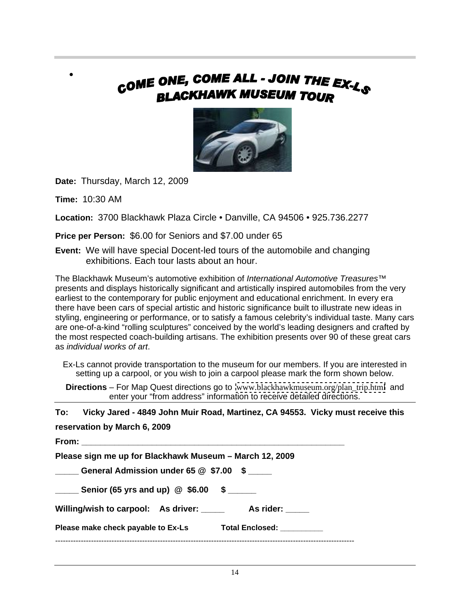## COME ONE, COME ALL - JOIN THE EX-LS **BLACKHAWK MUSEUM TOUR**



**Date:** Thursday, March 12, 2009

**Time:** 10:30 AM

 $\bullet$ 

**Location:** 3700 Blackhawk Plaza Circle • Danville, CA 94506 • 925.736.2277

**Price per Person:** \$6.00 for Seniors and \$7.00 under 65

**Event:** We will have special Docent-led tours of the automobile and changing exhibitions. Each tour lasts about an hour.

The Blackhawk Museum's automotive exhibition of International Automotive Treasures™ presents and displays historically significant and artistically inspired automobiles from the very earliest to the contemporary for public enjoyment and educational enrichment. In every era there have been cars of special artistic and historic significance built to illustrate new ideas in styling, engineering or performance, or to satisfy a famous celebrity's individual taste. Many cars are one-of-a-kind "rolling sculptures" conceived by the world's leading designers and crafted by the most respected coach-building artisans. The exhibition presents over 90 of these great cars as individual works of art.

Ex-Ls cannot provide transportation to the museum for our members. If you are interested in setting up a carpool, or you wish to join a carpool please mark the form shown below.

**Directions** – For Map Quest directions go to [www.blackhawkmuseum.org/plan\\_trip.html](http://www.blackhawkmuseum.org/plan_trip.html) and enter your "from address" information to receive detailed directions.

**To: Vicky Jared - 4849 John Muir Road, Martinez, CA 94553. Vicky must receive this reservation by March 6, 2009 From: \_\_\_\_\_\_\_\_\_\_\_\_\_\_\_\_\_\_\_\_\_\_\_\_\_\_\_\_\_\_\_\_\_\_\_\_\_\_\_\_\_\_\_\_\_\_\_\_\_\_\_\_\_\_\_\_**

| Please sign me up for Blackhawk Museum - March 12, 2009                  |  |
|--------------------------------------------------------------------------|--|
| $\_$ General Admission under 65 $@$ $\$7.00$ $\$$ $\_\_\_\_\_\_$<br>____ |  |
| _ Senior (65 yrs and up) $\quad$ \$6.00 $\quad$ \$ $\quad$               |  |
| Willing/wish to carpool: As driver: __<br>As rider: _____                |  |
| Please make check payable to Ex-Ls<br>Total Enclosed: _                  |  |
|                                                                          |  |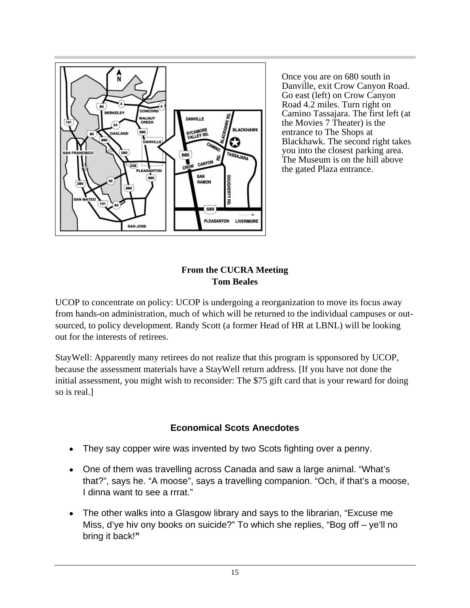

Once you are on 680 south in Danville, exit Crow Canyon Road. Go east (left) on Crow Canyon Road 4.2 miles. Turn right on Camino Tassajara. The first left (at the Movies 7 Theater) is the entrance to The Shops at Blackhawk. The second right takes you into the closest parking area. The Museum is on the hill above the gated Plaza entrance.

#### **From the CUCRA Meeting Tom Beales**

UCOP to concentrate on policy: UCOP is undergoing a reorganization to move its focus away from hands-on administration, much of which will be returned to the individual campuses or out sourced, to policy development. Randy Scott (a former Head of HR at LBNL) will be looking out for the interests of retirees.

StayWell: Apparently many retirees do not realize that this program is spponsored by UCOP, because the assessment materials have a StayWell return address. [If you have not done the initial assessment, you might wish to reconsider: The \$75 gift card that is your reward for doing so is real.]

## **Economical Scots Anecdotes**

- They say copper wire was invented by two Scots fighting over a penny.
- One of them was travelling across Canada and saw a large animal. "What's that?", says he. "A moose", says a travelling companion. "Och, if that's a moose, I dinna want to see a rrrat."
- The other walks into a Glasgow library and says to the librarian, "Excuse me Miss, d'ye hiv ony books on suicide?" To which she replies, "Bog off – ye'll no bring it back!**"**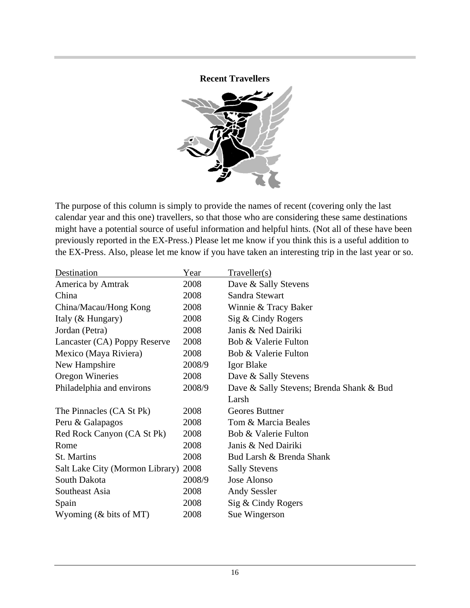#### **Recent Travellers**



The purpose of this column is simply to provide the names of recent (covering only the last calendar year and this one) travellers, so that those who are considering these same destinations might have a potential source of useful information and helpful hints. (Not all of these have been previously reported in the EX-Press.) Please let me know if you think this is a useful addition to the EX-Press. Also, please let me know if you have taken an interesting trip in the last year or so.

| Destination                          | Year   | Traveller(s)                             |
|--------------------------------------|--------|------------------------------------------|
| America by Amtrak                    | 2008   | Dave & Sally Stevens                     |
| China                                | 2008   | Sandra Stewart                           |
| China/Macau/Hong Kong                | 2008   | Winnie & Tracy Baker                     |
| Italy (& Hungary)                    | 2008   | Sig & Cindy Rogers                       |
| Jordan (Petra)                       | 2008   | Janis & Ned Dairiki                      |
| Lancaster (CA) Poppy Reserve         | 2008   | Bob & Valerie Fulton                     |
| Mexico (Maya Riviera)                | 2008   | Bob & Valerie Fulton                     |
| New Hampshire                        | 2008/9 | Igor Blake                               |
| Oregon Wineries                      | 2008   | Dave & Sally Stevens                     |
| Philadelphia and environs            | 2008/9 | Dave & Sally Stevens; Brenda Shank & Bud |
|                                      |        | Larsh                                    |
| The Pinnacles (CA St Pk)             | 2008   | Geores Buttner                           |
| Peru & Galapagos                     | 2008   | Tom & Marcia Beales                      |
| Red Rock Canyon (CA St Pk)           | 2008   | Bob & Valerie Fulton                     |
| Rome                                 | 2008   | Janis & Ned Dairiki                      |
| St. Martins                          | 2008   | Bud Larsh & Brenda Shank                 |
| Salt Lake City (Mormon Library) 2008 |        | <b>Sally Stevens</b>                     |
| South Dakota                         | 2008/9 | Jose Alonso                              |
| Southeast Asia                       | 2008   | <b>Andy Sessler</b>                      |
|                                      |        |                                          |
| Spain                                | 2008   | Sig & Cindy Rogers                       |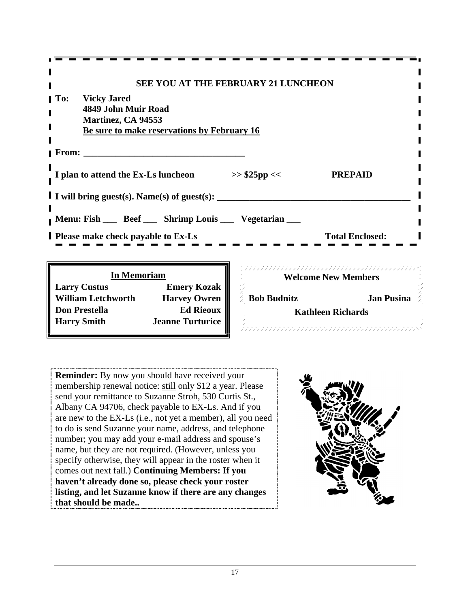| -------------------------                           |                        |  |
|-----------------------------------------------------|------------------------|--|
| SEE YOU AT THE FEBRUARY 21 LUNCHEON                 |                        |  |
|                                                     |                        |  |
| <b>To:</b> Vicky Jared<br>4849 John Muir Road       |                        |  |
| <b>Martinez, CA 94553</b>                           |                        |  |
| Be sure to make reservations by February 16         |                        |  |
|                                                     |                        |  |
| From:                                               |                        |  |
|                                                     |                        |  |
| I plan to attend the Ex-Ls luncheon<br>>> \$25pp << | <b>PREPAID</b>         |  |
|                                                     |                        |  |
| I I will bring guest(s). Name(s) of guest(s):       |                        |  |
|                                                     |                        |  |
| Menu: Fish __ Beef __ Shrimp Louis __ Vegetarian __ |                        |  |
| <b>I</b> Please make check payable to Ex-Ls         | <b>Total Enclosed:</b> |  |
|                                                     |                        |  |
|                                                     |                        |  |

| <b>In Memoriam</b>        |                         | <b>Welcome New Members</b> |                          |  |
|---------------------------|-------------------------|----------------------------|--------------------------|--|
| <b>Larry Custus</b>       | <b>Emery Kozak</b>      |                            |                          |  |
| <b>William Letchworth</b> | Harvey Owren            | <b>Bob Budnitz</b>         | Jan Pusina               |  |
| <b>Don Prestella</b>      | Ed Rieoux               |                            | <b>Kathleen Richards</b> |  |
| <b>Harry Smith</b>        | <b>Jeanne Turturice</b> |                            |                          |  |
|                           |                         |                            |                          |  |

7777777777777777777 **In Memoriam General Constant Constant Constant Constant Constant Constant Constant Constant Constant Constant Co Welcome New Members Bob Budnitz Jan Pusina Kathleen Richards**

**Reminder:** By now you should have received your membership renewal notice: still only \$12 a year. Please send your remittance to Suzanne Stroh, 530 Curtis St., Albany CA 94706, check payable to EX-Ls. And if you are new to the EX-Ls (i.e., not yet a member), all you need to do is send Suzanne your name, address, and telephone number; you may add your e-mail address and spouse's name, but they are not required. (However, unless you specify otherwise, they will appear in the roster when it comes out next fall.) **Continuing Members: If you haven't already done so, please check your roster listing, and let Suzanne know if there are any changes that should be made..**